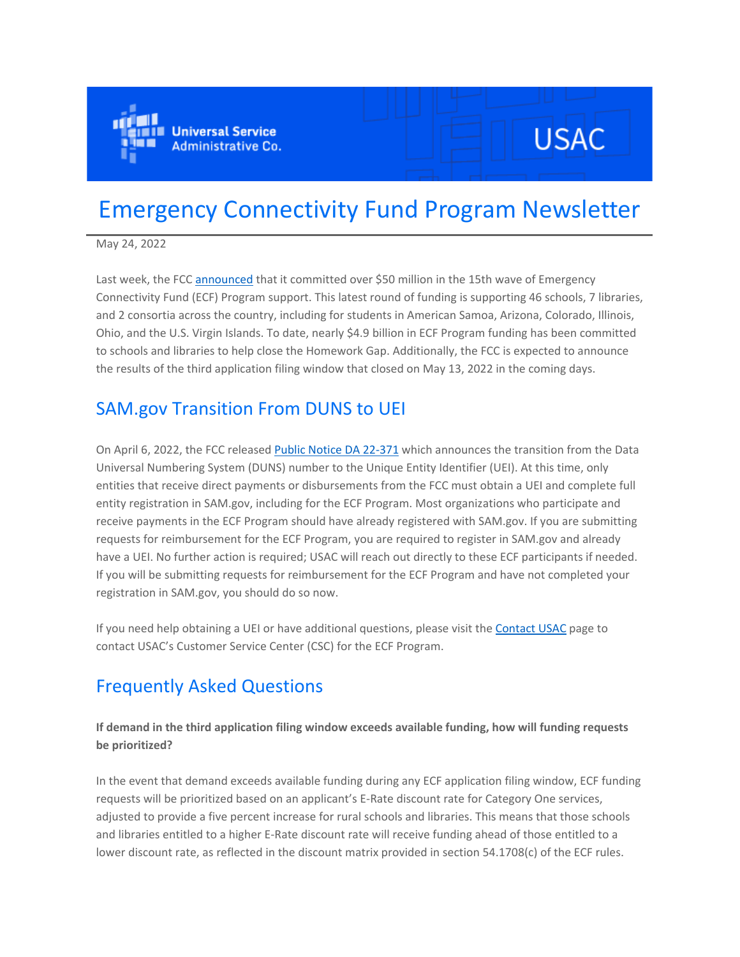

# **USAC**

## Emergency Connectivity Fund Program Newsletter

May 24, 2022

Last week, the FC[C announced](https://click.outreach.usac.org/?qs=be6bdda898052a9a8fc0072fb732d525df7da140e41819a58c1169c0298e27038a01fa173b5161951a63463cd7454eab8eb8173f396b68f1) that it committed over \$50 million in the 15th wave of Emergency Connectivity Fund (ECF) Program support. This latest round of funding is supporting 46 schools, 7 libraries, and 2 consortia across the country, including for students in American Samoa, Arizona, Colorado, Illinois, Ohio, and the U.S. Virgin Islands. To date, nearly \$4.9 billion in ECF Program funding has been committed to schools and libraries to help close the Homework Gap. Additionally, the FCC is expected to announce the results of the third application filing window that closed on May 13, 2022 in the coming days.

## SAM.gov Transition From DUNS to UEI

On April 6, 2022, the FCC released [Public Notice DA 22-371](https://click.outreach.usac.org/?qs=be6bdda898052a9a5d73f2ed4078ee6efe8775913b10f7bad4c83017b82696da857dfc644602fcf66a16142d668db6bf2a72ce31f69f7c67) which announces the transition from the Data Universal Numbering System (DUNS) number to the Unique Entity Identifier (UEI). At this time, only entities that receive direct payments or disbursements from the FCC must obtain a UEI and complete full entity registration in SAM.gov, including for the ECF Program. Most organizations who participate and receive payments in the ECF Program should have already registered with SAM.gov. If you are submitting requests for reimbursement for the ECF Program, you are required to register in SAM.gov and already have a UEI. No further action is required; USAC will reach out directly to these ECF participants if needed. If you will be submitting requests for reimbursement for the ECF Program and have not completed your registration in SAM.gov, you should do so now.

If you need help obtaining a UEI or have additional questions, please visit the [Contact USAC](https://click.outreach.usac.org/?qs=be6bdda898052a9a03d204f6a2bd86aec0b12071aa13402613749ccd5701bf642591a98b48afa422f0dc1fa5307e703c1b7d5a2e5df06a58) page to contact USAC's Customer Service Center (CSC) for the ECF Program.

## Frequently Asked Questions

**If demand in the third application filing window exceeds available funding, how will funding requests be prioritized?**

In the event that demand exceeds available funding during any ECF application filing window, ECF funding requests will be prioritized based on an applicant's E-Rate discount rate for Category One services, adjusted to provide a five percent increase for rural schools and libraries. This means that those schools and libraries entitled to a higher E-Rate discount rate will receive funding ahead of those entitled to a lower discount rate, as reflected in the discount matrix provided in section 54.1708(c) of the ECF rules.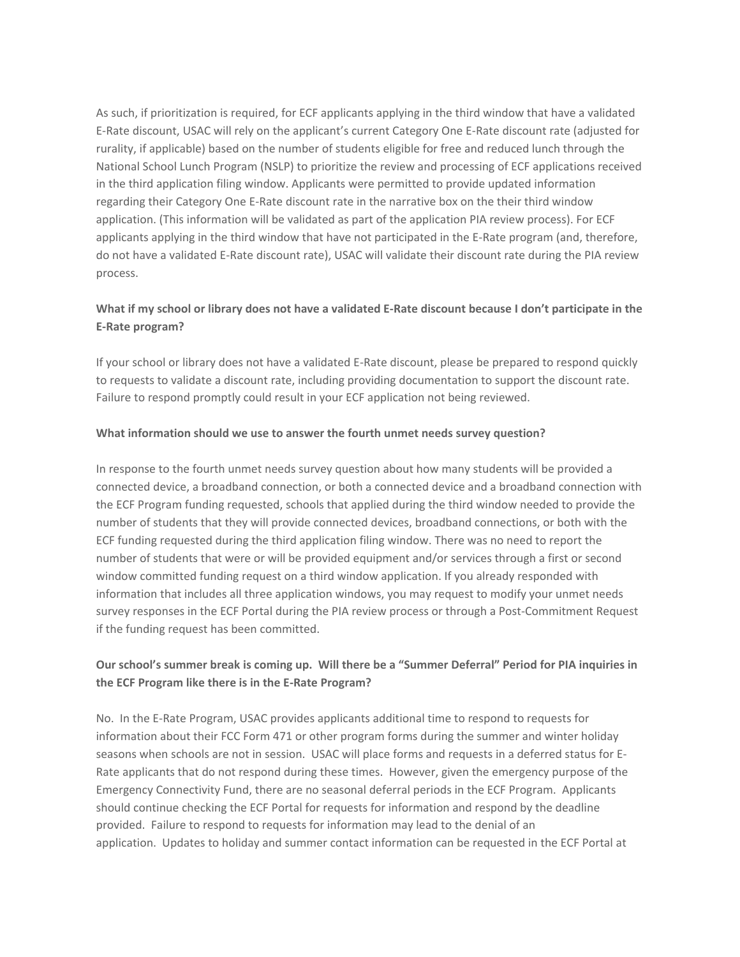As such, if prioritization is required, for ECF applicants applying in the third window that have a validated E-Rate discount, USAC will rely on the applicant's current Category One E-Rate discount rate (adjusted for rurality, if applicable) based on the number of students eligible for free and reduced lunch through the National School Lunch Program (NSLP) to prioritize the review and processing of ECF applications received in the third application filing window. Applicants were permitted to provide updated information regarding their Category One E-Rate discount rate in the narrative box on the their third window application. (This information will be validated as part of the application PIA review process). For ECF applicants applying in the third window that have not participated in the E-Rate program (and, therefore, do not have a validated E-Rate discount rate), USAC will validate their discount rate during the PIA review process.

#### **What if my school or library does not have a validated E-Rate discount because I don't participate in the E-Rate program?**

If your school or library does not have a validated E-Rate discount, please be prepared to respond quickly to requests to validate a discount rate, including providing documentation to support the discount rate. Failure to respond promptly could result in your ECF application not being reviewed.

#### **What information should we use to answer the fourth unmet needs survey question?**

In response to the fourth unmet needs survey question about how many students will be provided a connected device, a broadband connection, or both a connected device and a broadband connection with the ECF Program funding requested, schools that applied during the third window needed to provide the number of students that they will provide connected devices, broadband connections, or both with the ECF funding requested during the third application filing window. There was no need to report the number of students that were or will be provided equipment and/or services through a first or second window committed funding request on a third window application. If you already responded with information that includes all three application windows, you may request to modify your unmet needs survey responses in the ECF Portal during the PIA review process or through a Post-Commitment Request if the funding request has been committed.

#### **Our school's summer break is coming up. Will there be a "Summer Deferral" Period for PIA inquiries in the ECF Program like there is in the E-Rate Program?**

No. In the E-Rate Program, USAC provides applicants additional time to respond to requests for information about their FCC Form 471 or other program forms during the summer and winter holiday seasons when schools are not in session. USAC will place forms and requests in a deferred status for E-Rate applicants that do not respond during these times. However, given the emergency purpose of the Emergency Connectivity Fund, there are no seasonal deferral periods in the ECF Program. Applicants should continue checking the ECF Portal for requests for information and respond by the deadline provided. Failure to respond to requests for information may lead to the denial of an application. Updates to holiday and summer contact information can be requested in the ECF Portal at